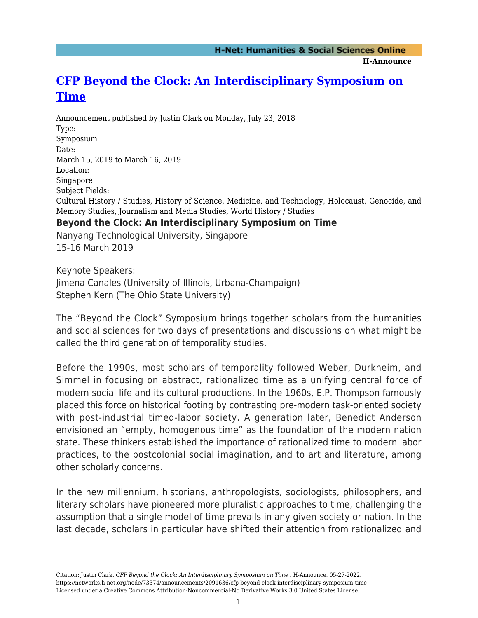**H-Announce** 

## **[CFP Beyond the Clock: An Interdisciplinary Symposium on](https://networks.h-net.org/node/73374/announcements/2091636/cfp-beyond-clock-interdisciplinary-symposium-time) [Time](https://networks.h-net.org/node/73374/announcements/2091636/cfp-beyond-clock-interdisciplinary-symposium-time)**

Announcement published by Justin Clark on Monday, July 23, 2018 Type: Symposium Date: March 15, 2019 to March 16, 2019 Location: Singapore Subject Fields: Cultural History / Studies, History of Science, Medicine, and Technology, Holocaust, Genocide, and Memory Studies, Journalism and Media Studies, World History / Studies **Beyond the Clock: An Interdisciplinary Symposium on Time** Nanyang Technological University, Singapore 15-16 March 2019

Keynote Speakers: Jimena Canales (University of Illinois, Urbana-Champaign) Stephen Kern (The Ohio State University)

The "Beyond the Clock" Symposium brings together scholars from the humanities and social sciences for two days of presentations and discussions on what might be called the third generation of temporality studies.

Before the 1990s, most scholars of temporality followed Weber, Durkheim, and Simmel in focusing on abstract, rationalized time as a unifying central force of modern social life and its cultural productions. In the 1960s, E.P. Thompson famously placed this force on historical footing by contrasting pre-modern task-oriented society with post-industrial timed-labor society. A generation later, Benedict Anderson envisioned an "empty, homogenous time" as the foundation of the modern nation state. These thinkers established the importance of rationalized time to modern labor practices, to the postcolonial social imagination, and to art and literature, among other scholarly concerns.

In the new millennium, historians, anthropologists, sociologists, philosophers, and literary scholars have pioneered more pluralistic approaches to time, challenging the assumption that a single model of time prevails in any given society or nation. In the last decade, scholars in particular have shifted their attention from rationalized and

Citation: Justin Clark. *CFP Beyond the Clock: An Interdisciplinary Symposium on Time* . H-Announce. 05-27-2022. https://networks.h-net.org/node/73374/announcements/2091636/cfp-beyond-clock-interdisciplinary-symposium-time Licensed under a Creative Commons Attribution-Noncommercial-No Derivative Works 3.0 United States License.